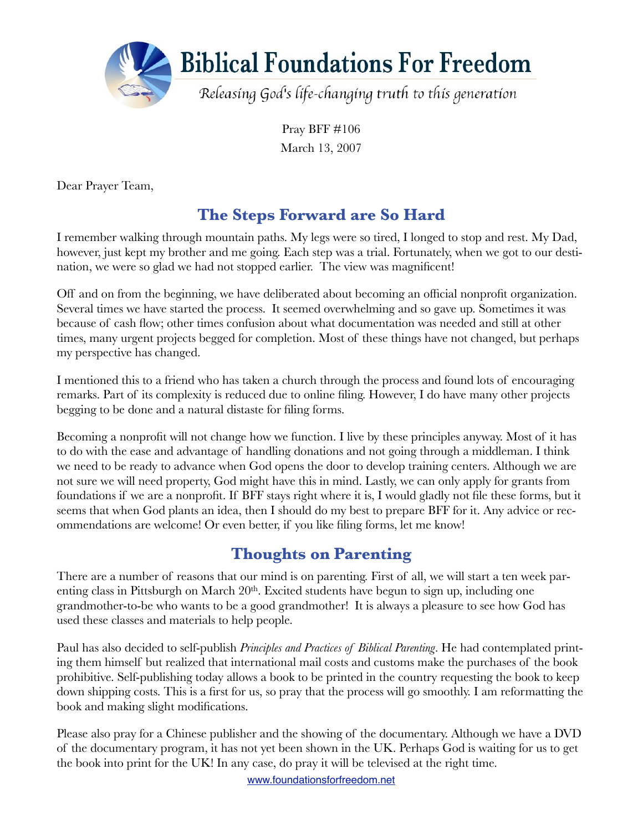

Pray BFF #106 March 13, 2007

Dear Prayer Team,

## **The Steps Forward are So Hard**

I remember walking through mountain paths. My legs were so tired, I longed to stop and rest. My Dad, however, just kept my brother and me going. Each step was a trial. Fortunately, when we got to our destination, we were so glad we had not stopped earlier. The view was magnificent!

Off and on from the beginning, we have deliberated about becoming an official nonprofit organization. Several times we have started the process. It seemed overwhelming and so gave up. Sometimes it was because of cash flow; other times confusion about what documentation was needed and still at other times, many urgent projects begged for completion. Most of these things have not changed, but perhaps my perspective has changed.

I mentioned this to a friend who has taken a church through the process and found lots of encouraging remarks. Part of its complexity is reduced due to online filing. However, I do have many other projects begging to be done and a natural distaste for filing forms.

Becoming a nonprofit will not change how we function. I live by these principles anyway. Most of it has to do with the ease and advantage of handling donations and not going through a middleman. I think we need to be ready to advance when God opens the door to develop training centers. Although we are not sure we will need property, God might have this in mind. Lastly, we can only apply for grants from foundations if we are a nonprofit. If BFF stays right where it is, I would gladly not file these forms, but it seems that when God plants an idea, then I should do my best to prepare BFF for it. Any advice or recommendations are welcome! Or even better, if you like filing forms, let me know!

## **Thoughts on Parenting**

There are a number of reasons that our mind is on parenting. First of all, we will start a ten week parenting class in Pittsburgh on March 20<sup>th</sup>. Excited students have begun to sign up, including one grandmother-to-be who wants to be a good grandmother! It is always a pleasure to see how God has used these classes and materials to help people.

Paul has also decided to self-publish *Principles and Practices of Biblical Parenting*. He had contemplated printing them himself but realized that international mail costs and customs make the purchases of the book prohibitive. Self-publishing today allows a book to be printed in the country requesting the book to keep down shipping costs. This is a first for us, so pray that the process will go smoothly. I am reformatting the book and making slight modifications.

Please also pray for a Chinese publisher and the showing of the documentary. Although we have a DVD of the documentary program, it has not yet been shown in the UK. Perhaps God is waiting for us to get the book into print for the UK! In any case, do pray it will be televised at the right time.

[www.foundationsforfreedom.net](http://www.foundationsforfreedom.net)